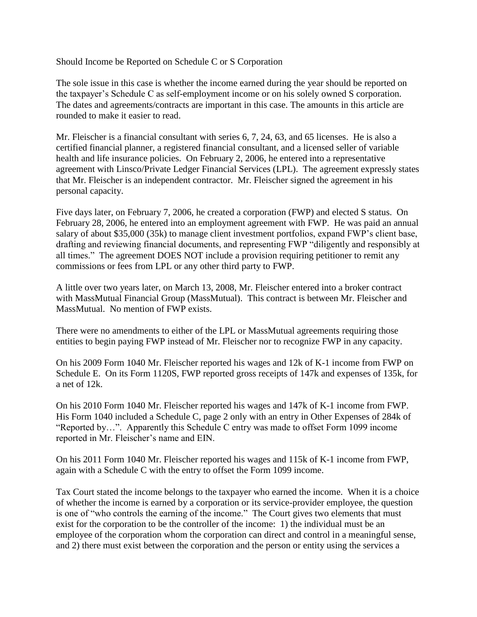## Should Income be Reported on Schedule C or S Corporation

The sole issue in this case is whether the income earned during the year should be reported on the taxpayer's Schedule C as self-employment income or on his solely owned S corporation. The dates and agreements/contracts are important in this case. The amounts in this article are rounded to make it easier to read.

Mr. Fleischer is a financial consultant with series 6, 7, 24, 63, and 65 licenses. He is also a certified financial planner, a registered financial consultant, and a licensed seller of variable health and life insurance policies. On February 2, 2006, he entered into a representative agreement with Linsco/Private Ledger Financial Services (LPL). The agreement expressly states that Mr. Fleischer is an independent contractor. Mr. Fleischer signed the agreement in his personal capacity.

Five days later, on February 7, 2006, he created a corporation (FWP) and elected S status. On February 28, 2006, he entered into an employment agreement with FWP. He was paid an annual salary of about \$35,000 (35k) to manage client investment portfolios, expand FWP's client base, drafting and reviewing financial documents, and representing FWP "diligently and responsibly at all times." The agreement DOES NOT include a provision requiring petitioner to remit any commissions or fees from LPL or any other third party to FWP.

A little over two years later, on March 13, 2008, Mr. Fleischer entered into a broker contract with MassMutual Financial Group (MassMutual). This contract is between Mr. Fleischer and MassMutual. No mention of FWP exists.

There were no amendments to either of the LPL or MassMutual agreements requiring those entities to begin paying FWP instead of Mr. Fleischer nor to recognize FWP in any capacity.

On his 2009 Form 1040 Mr. Fleischer reported his wages and 12k of K-1 income from FWP on Schedule E. On its Form 1120S, FWP reported gross receipts of 147k and expenses of 135k, for a net of 12k.

On his 2010 Form 1040 Mr. Fleischer reported his wages and 147k of K-1 income from FWP. His Form 1040 included a Schedule C, page 2 only with an entry in Other Expenses of 284k of "Reported by…". Apparently this Schedule C entry was made to offset Form 1099 income reported in Mr. Fleischer's name and EIN.

On his 2011 Form 1040 Mr. Fleischer reported his wages and 115k of K-1 income from FWP, again with a Schedule C with the entry to offset the Form 1099 income.

Tax Court stated the income belongs to the taxpayer who earned the income. When it is a choice of whether the income is earned by a corporation or its service-provider employee, the question is one of "who controls the earning of the income." The Court gives two elements that must exist for the corporation to be the controller of the income: 1) the individual must be an employee of the corporation whom the corporation can direct and control in a meaningful sense, and 2) there must exist between the corporation and the person or entity using the services a